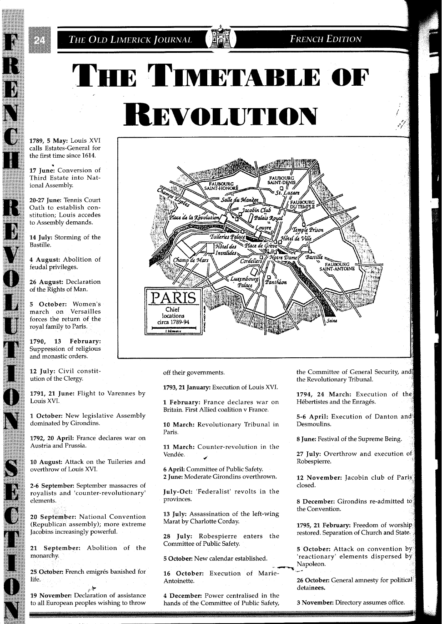**FRENCH EDITION** 

## THE TIMETABLE OF REVOLUTION

1789, 5 May: Louis XVI calls Estates-General for the first time since 1614.

17 June: Conversion of Third Estate into National Assembly.

20-27 June: Tennis Court Oath to establish constitution; Louis accedes to Assembly demands.

14 July: Storming of the Bastille,

4 August: Abolition of feudal privileges.

26 August: Declaration of the Rights of Man.

5 October: Women's march on Versailles forces the return of the royal family to Paris.

1790, 13 February: Suppression of religious and monastic orders.

**12** July: Civil constitution of the Clergy.

**1791, 21** June: Flight to Varennes by Louis XVI.

**1** October: New legislative Assembly dominated by Girondins.

**1792, 20** April: France declares war on Austria and Prussia.

**10** August: Attack on the Tuileries and overthrow of Louis XVI.

**2-6** September: September massacres of royalists and 'counter-revolutionary' elements.

**20** September: National Convention (Republican assembly); more extreme Jacobins increasingly powerful.

**21** September: Abolition of the monarchy.

25 October: French emigrés banished for life.

19 November: Declaration of assistance to all European peoples wishing to throw



off their governments.

**1793,21** January: Execution of Louis XVI.

**1** February: France declares war on Britain. First Allied coalition v France.

**10** March: Revolutionary Tribunal in Paris.

**11** March: Counter-revolution in the Vendée.

**6** April: Committee of Public Safety. **2** June: Moderate Girondins overthrown.

July-Oct: 'Federalist' revolts in the provinces.

**13** July: Assassination of the left-wing Marat by Charlotte Corday.

**28** July: Robespierre enters the Committee of Public Safety.

**5** October: New calendar established.

**-C 16** October: Execution of Marie-Antoinette.

**4** December: Power centralised in the hands of the Committee of Public Safety, the Committee of General Security, and the Revolutionary Tribunal.

**1794, 24** March: Execution of t Hébertistes and the Enragés.

**5-6** April: Execution of Danton a Desmoulins.

**8** June: Festival of the Supreme Being.

**27** July: Overthrow and execution Robespierre.

**12** November: Jacobin club of Par closed.

**8** December: Girondins re-admitted the Convention.

**1795, 21 February:** Freedom of worship restored. Separation of Church and St

**5 October:** Attack on convention by 'reactionary' elements dispersed Napoleon. --

26 October: General amnesty for political detainees.

**3** November: Directory assumes office.